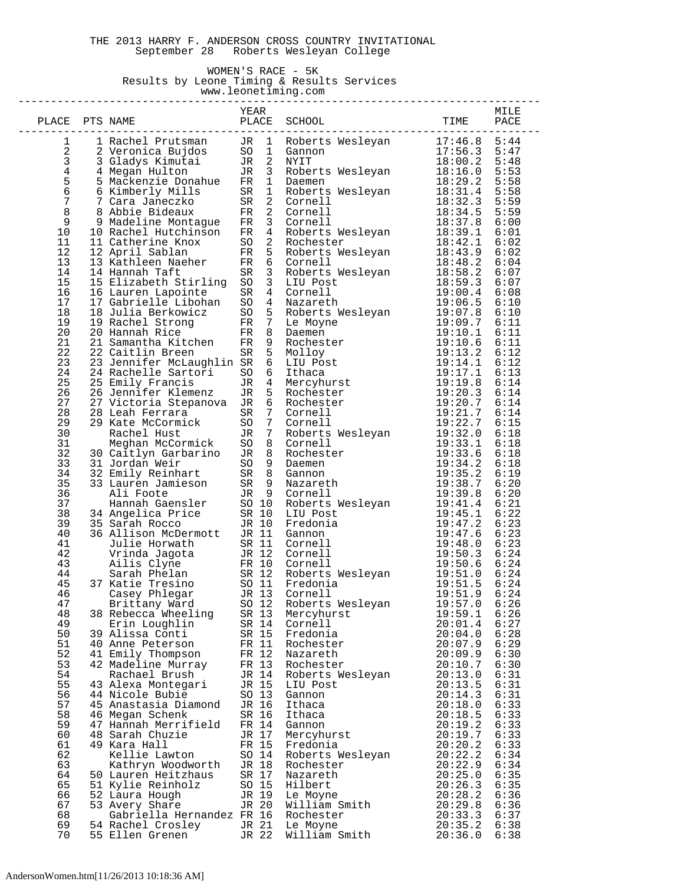#### THE 2013 HARRY F. ANDERSON CROSS COUNTRY INVITATIONAL September 28 Roberts Wesleyan College

### WOMEN'S RACE - 5K Results by Leone Timing & Results Services

 www.leonetiming.com --------------------------------------------------------------------------------

|                |                                                                    | YEAR           |                 |                                                                                                                                                                                                                                                           |                    | MILE         |
|----------------|--------------------------------------------------------------------|----------------|-----------------|-----------------------------------------------------------------------------------------------------------------------------------------------------------------------------------------------------------------------------------------------------------|--------------------|--------------|
| PLACE          | PTS NAME                                                           | PLACE          |                 | SCHOOL                                                                                                                                                                                                                                                    | TIME               | PACE         |
| 1              | 1 Rachel Prutsman                                                  | JR             | $\mathbf{1}$    |                                                                                                                                                                                                                                                           |                    | 5:44         |
| 2              | ------ riutsman<br>2 Veronica Bujdos<br>3 Gladys V                 |                | SO <sub>1</sub> | Roberts Wesleyan 17:46.8<br>Gannon                                                                                                                                                                                                                        | 17:56.3            | 5:47         |
| 3              | 3 Gladys Kimutai                                                   | JR             |                 | 2 NYIT                                                                                                                                                                                                                                                    | 18:00.2            | 5:48         |
| $\overline{4}$ | 4 Megan Hulton                                                     | JR             |                 | 3 Roberts Wesleyan                                                                                                                                                                                                                                        | 18:16.0            | 5:53         |
| 5              | 5 Mackenzie Donahue                                                | FR             | $\mathbf{1}$    | Daemen                                                                                                                                                                                                                                                    | 18:29.2            | 5:58         |
| б              | 6 Kimberly Mills                                                   | SR             |                 | - Incomercies Wesleyan<br>2 Cornell<br>2 Cornell<br>3 Cornell                                                                                                                                                                                             | 18:31.4            | 5:58         |
| $\sqrt{ }$     | 7 Cara Janeczko                                                    | SR             |                 |                                                                                                                                                                                                                                                           | 18:32.3            | 5:59         |
| 8              | 8 Abbie Bideaux                                                    | FR             |                 |                                                                                                                                                                                                                                                           | 18:34.5            | 5:59         |
| $\mathsf 9$    | 9 Madeline Montague                                                | FR             |                 | 3 Cornell                                                                                                                                                                                                                                                 | 18:37.8            | 6:00         |
| $10$           | 10 Rachel Hutchinson                                               | FR             |                 | 4 Roberts Wesleyan<br>2 Rochester                                                                                                                                                                                                                         | 18:39.1            | 6:01         |
| 11             | 11 Catherine Knox                                                  | SO             |                 |                                                                                                                                                                                                                                                           | 18:42.1            | 6:02         |
| 12             | 12 April Sablan                                                    | $_{\rm FR}$    |                 | 5 Roberts Wesleyan                                                                                                                                                                                                                                        | 18:43.9            | 6:02         |
| 13             | 13 Kathleen Naeher                                                 | $_{\rm FR}$    |                 | 6 Cornell                                                                                                                                                                                                                                                 | 18:48.2            | 6:04         |
| 14             | 14 Hannah Taft                                                     | SR             |                 | 3 Roberts Wesleyan<br>3 LIU Post<br>4 Cornell                                                                                                                                                                                                             | 18:58.2            | 6:07         |
| 15             | 15 Elizabeth Stirling                                              | SO             |                 |                                                                                                                                                                                                                                                           | 18:59.3            | 6:07         |
| 16<br>17       | 16 Lauren Lapointe                                                 | SR             |                 | 4 Nazareth                                                                                                                                                                                                                                                | 19:00.4            | 6:08         |
| 18             | 17 Gabrielle Libohan<br>18 Julia Berkowicz                         | SO<br>SO       |                 |                                                                                                                                                                                                                                                           | 19:06.5            | 6:10<br>6:10 |
| 19             | 19 Rachel Strong                                                   | FR             |                 | Frazante.<br>Roberts Wesleyan 19:07.8<br>7 Le Moyne 19:09.7<br>8 Daemen 19:10.1                                                                                                                                                                           |                    | 6:11         |
| 20             | 20 Hannah Rice                                                     | FR             |                 |                                                                                                                                                                                                                                                           | 19:10.1            | 6:11         |
| 21             | 21 Samantha Kitchen                                                | FR             |                 |                                                                                                                                                                                                                                                           |                    | 6:11         |
| 22             | 22 Caitlin Breen                                                   | SR             |                 |                                                                                                                                                                                                                                                           |                    | 6:12         |
| 23             | 23 Jennifer McLaughlin SR                                          |                |                 |                                                                                                                                                                                                                                                           |                    | 6:12         |
| 24             | 24 Rachelle Sartori                                                | SO             |                 |                                                                                                                                                                                                                                                           |                    | 6:13         |
| 25             | 25 Emily Francis                                                   | JR             |                 |                                                                                                                                                                                                                                                           |                    | 6:14         |
| 26             | 26 Jennifer Klemenz                                                | JR             |                 | 8 Daemen<br>9 Rochester<br>5 Molloy<br>6 LIU Post<br>4 Thaca<br>4 Mercyhurst<br>5 Rochester<br>5 Rochester<br>5 Rochester<br>6 Rochester<br>7 Cornell<br>7 Cornell<br>19:20.7<br>7 Cornell<br>19:20.7<br>7 Cornell<br>19:20.7                             |                    | 6:14         |
| 27             | 27 Victoria Stepanova                                              | JR             |                 |                                                                                                                                                                                                                                                           |                    | 6:14         |
| 28             | 28 Leah Ferrara                                                    | SR             |                 |                                                                                                                                                                                                                                                           |                    | 6:14         |
| 29             | 29 Kate McCormick                                                  | SO             |                 | 7 Cornell                                                                                                                                                                                                                                                 | 19:22.7            | 6:15         |
| 30             | Rachel Hust                                                        | JR             |                 |                                                                                                                                                                                                                                                           |                    | 6:18         |
| 31             | Meghan McCormick                                                   | SO             |                 |                                                                                                                                                                                                                                                           |                    | 6:18         |
| 32             | 30 Caitlyn Garbarino                                               | JR             |                 |                                                                                                                                                                                                                                                           |                    | 6:18         |
| 33<br>34       | 31 Jordan Weir<br>32 Emily Reinhart                                | SO<br>SR       |                 |                                                                                                                                                                                                                                                           |                    | 6:18<br>6:19 |
| 35             | 33 Lauren Jamieson                                                 |                |                 | 7 Roberts Wesleyan 19:22.7<br>8 Cornell 19:33.0<br>8 Rochester 19:33.1<br>8 Rochester 19:33.6<br>8 Daemen 19:33.6<br>8 Gannon 19:34.2<br>9 Nazareth 19:38.7<br>9 Cornell 19:39.8<br>SR 9 Nazareth                                                         |                    | 6:20         |
| 36             | Ali Foote                                                          |                |                 | JR 9 Cornell                                                                                                                                                                                                                                              | 19:39.8            | 6:20         |
| 37             | Hillwood<br>Hannah Gaensler<br>34 Angelica Price<br>35 Sarah Rocco |                |                 | SO 10 Roberts Wesleyan 19:41.4<br>SR 10 LIU Post 19:45.1                                                                                                                                                                                                  |                    | 6:21         |
| 38             |                                                                    |                |                 | SR 10 LIU Post                                                                                                                                                                                                                                            | 19:45.1            | 6:22         |
| 39             |                                                                    |                |                 | JR 10 Fredonia                                                                                                                                                                                                                                            | 19:47.2            | 6:23         |
| 40             | 36 Allison McDermott                                               |                |                 | JR 11 Gannon                                                                                                                                                                                                                                              | 19:47.6            | 6:23         |
| 41             |                                                                    |                |                 | SR 11 Cornell<br>Julie Horwath SR 11 Cornell 19:48.0<br>Vrinda Jagota JR 12 Cornell 19:50.3<br>Ailis Clyne FR 10 Cornell 19:50.6<br>Sarah Phelan SR 12 Roberts Wesleyan 19:51.0<br>37 Katie Tresino SO 11 Fredonia 19:51.5<br>Casey Phlegar JR 13 Cornell | 19:48.0            | 6:23         |
| 42             |                                                                    |                |                 |                                                                                                                                                                                                                                                           |                    | 6:24         |
| 43             |                                                                    |                |                 |                                                                                                                                                                                                                                                           |                    | 6:24         |
| 44             |                                                                    |                |                 |                                                                                                                                                                                                                                                           |                    | 6:24         |
| 45<br>46       |                                                                    |                |                 |                                                                                                                                                                                                                                                           |                    | 6:24<br>6:24 |
| 47             | Brittany Ward                                                      | SO 12          |                 | Roberts Wesleyan                                                                                                                                                                                                                                          |                    | 6:26         |
| 48             | 38 Rebecca Wheeling                                                | SR 13          |                 | Mercyhurst                                                                                                                                                                                                                                                | 19:59.1            | 6:26         |
| 49             | Erin Loughlin                                                      | SR 14          |                 | Cornell                                                                                                                                                                                                                                                   | 20:01.4            | 6:27         |
| 50             | 39 Alissa Conti                                                    | SR 15          |                 | Fredonia                                                                                                                                                                                                                                                  | 20:04.0            | 6:28         |
| 51             | 40 Anne Peterson                                                   | FR 11          |                 | Rochester                                                                                                                                                                                                                                                 | 20:07.9            | 6:29         |
| 52             | 41 Emily Thompson                                                  | FR 12          |                 | Nazareth                                                                                                                                                                                                                                                  | 20:09.9            | 6:30         |
| 53             | 42 Madeline Murray                                                 | FR 13          |                 | Rochester                                                                                                                                                                                                                                                 | 20:10.7            | 6:30         |
| 54             | Rachael Brush                                                      | JR 14          |                 | Roberts Wesleyan                                                                                                                                                                                                                                          | 20:13.0            | 6:31         |
| 55             | 43 Alexa Montegari                                                 | JR 15          |                 | LIU Post                                                                                                                                                                                                                                                  | 20:13.5            | 6:31         |
| 56             | 44 Nicole Bubie                                                    | SO 13          |                 | Gannon                                                                                                                                                                                                                                                    | 20:14.3            | 6:31         |
| 57             | 45 Anastasia Diamond                                               | JR 16          |                 | Ithaca                                                                                                                                                                                                                                                    | 20:18.0            | 6:33         |
| 58             | 46 Megan Schenk                                                    | SR 16          |                 | Ithaca                                                                                                                                                                                                                                                    | 20:18.5            | 6:33         |
| 59<br>60       | 47 Hannah Merrifield                                               | FR 14<br>JR 17 |                 | Gannon<br>Mercyhurst                                                                                                                                                                                                                                      | 20:19.2<br>20:19.7 | 6:33<br>6:33 |
| 61             | 48 Sarah Chuzie<br>49 Kara Hall                                    | FR 15          |                 | Fredonia                                                                                                                                                                                                                                                  | 20:20.2            | 6:33         |
| 62             | Kellie Lawton                                                      | SO 14          |                 | Roberts Wesleyan                                                                                                                                                                                                                                          | 20:22.2            | 6:34         |
| 63             | Kathryn Woodworth                                                  | JR 18          |                 | Rochester                                                                                                                                                                                                                                                 | 20:22.9            | 6:34         |
| 64             | 50 Lauren Heitzhaus                                                | SR 17          |                 | Nazareth                                                                                                                                                                                                                                                  | 20:25.0            | 6:35         |
| 65             | 51 Kylie Reinholz                                                  | SO 15          |                 | Hilbert                                                                                                                                                                                                                                                   | 20:26.3            | 6:35         |
| 66             | 52 Laura Hough                                                     | JR 19          |                 | Le Moyne                                                                                                                                                                                                                                                  | 20:28.2            | 6:36         |
| 67             | 53 Avery Share                                                     | JR 20          |                 | William Smith                                                                                                                                                                                                                                             | 20:29.8            | 6:36         |
| 68             | Gabriella Hernandez FR 16                                          |                |                 | Rochester                                                                                                                                                                                                                                                 | 20:33.3            | 6:37         |
| 69             | 54 Rachel Crosley                                                  | JR 21          |                 | Le Moyne                                                                                                                                                                                                                                                  | 20:35.2            | 6:38         |
| 70             | 55 Ellen Grenen                                                    | JR 22          |                 | William Smith                                                                                                                                                                                                                                             | 20:36.0            | 6:38         |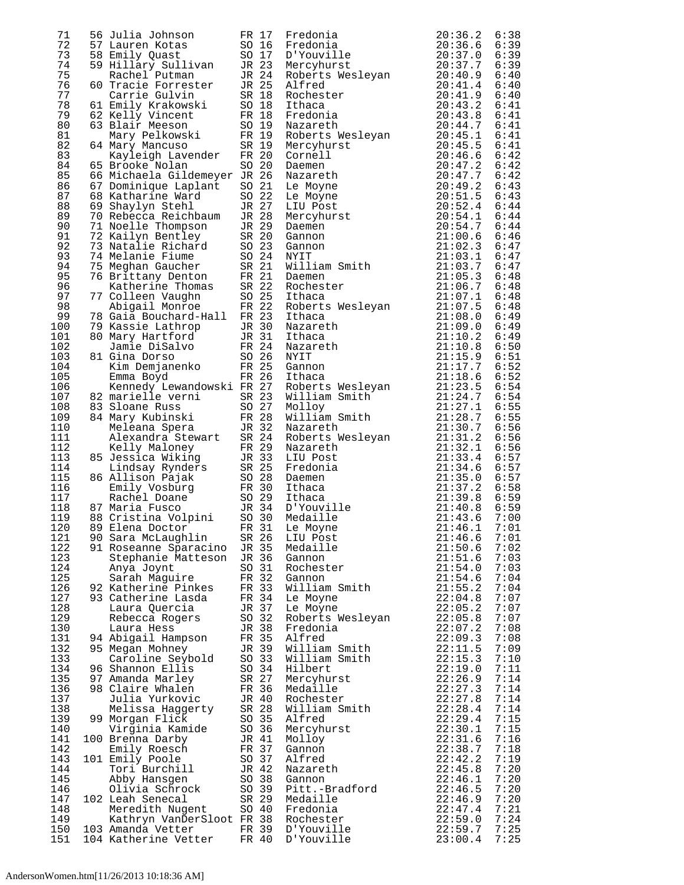| 71  | 56 Julia Johnson                                                                                                                                                                                                | FR 17          | Fredonia                                                                                                                                                                                                                                | 20:36.2        | 6:38 |
|-----|-----------------------------------------------------------------------------------------------------------------------------------------------------------------------------------------------------------------|----------------|-----------------------------------------------------------------------------------------------------------------------------------------------------------------------------------------------------------------------------------------|----------------|------|
| 72  | 57 Lauren Kotas                                                                                                                                                                                                 |                | SO 16 Fredonia                                                                                                                                                                                                                          | 20:36.6        | 6:39 |
| 73  |                                                                                                                                                                                                                 |                | D'Youville                                                                                                                                                                                                                              | 20:37.0        | 6:39 |
| 74  |                                                                                                                                                                                                                 |                |                                                                                                                                                                                                                                         |                | 6:39 |
|     |                                                                                                                                                                                                                 |                | Mercyhurst                                                                                                                                                                                                                              | 20:37.7        |      |
| 75  |                                                                                                                                                                                                                 |                | Roberts Wesleyan 20:40.9<br>Alfred 20:41.4                                                                                                                                                                                              |                | 6:40 |
| 76  | 58 Emily Quast 50 17<br>58 Emily Quast 50 17<br>59 Hillary Sullivan 5 23<br>60 Tracie Forrester 5 25<br>60 Tracie Forrester 5 25<br>62 Kelly Krakowski 50 18<br>62 Kelly Vincent FR 18<br>63 Rlair Meeson 50 19 |                | Alfred                                                                                                                                                                                                                                  | 20:41.4        | 6:40 |
| 77  |                                                                                                                                                                                                                 |                | Rochester                                                                                                                                                                                                                               | 20:41.9        | 6:40 |
| 78  |                                                                                                                                                                                                                 |                | Ithaca                                                                                                                                                                                                                                  | 20:43.2        | 6:41 |
|     |                                                                                                                                                                                                                 |                |                                                                                                                                                                                                                                         |                |      |
| 79  |                                                                                                                                                                                                                 |                | Fredonia                                                                                                                                                                                                                                | 20:43.8        | 6:41 |
| 80  | 63 Blair Meeson                                                                                                                                                                                                 | SO 19          | Nazareth                                                                                                                                                                                                                                | 20:44.7        | 6:41 |
| 81  | Mary Pelkowski FR 19                                                                                                                                                                                            |                | Roberts Wesleyan<br>Mercyhurst<br>Cornell<br>Daemen                                                                                                                                                                                     | 20:45.1        | 6:41 |
| 82  | 64 Mary Mancuso                                                                                                                                                                                                 | SR 19          |                                                                                                                                                                                                                                         | 20:45.5        | 6:41 |
|     |                                                                                                                                                                                                                 |                |                                                                                                                                                                                                                                         |                |      |
| 83  | Kayleigh Lavender FR 20                                                                                                                                                                                         |                |                                                                                                                                                                                                                                         | 20:46.6        | 6:42 |
| 84  | 65 Brooke Nolan                                                                                                                                                                                                 | SO 20          | Daemen                                                                                                                                                                                                                                  | 20:47.2        | 6:42 |
| 85  | 66 Michaela Gildemeyer JR 26                                                                                                                                                                                    |                | Nazareth                                                                                                                                                                                                                                | 20:47.7        | 6:42 |
| 86  | 67 Dominique Laplant                                                                                                                                                                                            | SO 21          | Le Moyne                                                                                                                                                                                                                                | 20:49.2        | 6:43 |
|     |                                                                                                                                                                                                                 |                |                                                                                                                                                                                                                                         |                |      |
| 87  | 68 Katharine Ward                                                                                                                                                                                               | SO 22          | Le Moyne                                                                                                                                                                                                                                | 20:51.5        | 6:43 |
| 88  | 69 Shaylyn Stehl                                                                                                                                                                                                | JR 27          | LIU Post                                                                                                                                                                                                                                | 20:52.4        | 6:44 |
| 89  | 70 Rebecca Reichbaum JR 28                                                                                                                                                                                      |                | Mercyhurst                                                                                                                                                                                                                              | 20:54.1        | 6:44 |
| 90  | 71 Noelle Thompson JR 29                                                                                                                                                                                        |                |                                                                                                                                                                                                                                         | 20:54.7        | 6:44 |
|     |                                                                                                                                                                                                                 |                | Daemen                                                                                                                                                                                                                                  |                |      |
| 91  | 72 Kailyn Bentley<br>73 Natalie Richard SO 23<br>74 Melanie Fiume SO 24<br>75 Melanie Fiume SO 24                                                                                                               |                | Gannon                                                                                                                                                                                                                                  | 21:00.6        | 6:46 |
| 92  |                                                                                                                                                                                                                 |                | Gannon                                                                                                                                                                                                                                  | 21:02.3        | 6:47 |
| 93  | 74 Melanie Fiume 50 24<br>75 Meghan Gaucher 5R 21                                                                                                                                                               |                | William Smith<br>Daemen                                                                                                                                                                                                                 | 21:03.1        | 6:47 |
| 94  |                                                                                                                                                                                                                 |                |                                                                                                                                                                                                                                         | 21:03.7        | 6:47 |
|     |                                                                                                                                                                                                                 |                |                                                                                                                                                                                                                                         |                |      |
| 95  | 76 Brittany Denton FR 21<br>Katherine Thomas SR 22                                                                                                                                                              |                |                                                                                                                                                                                                                                         | 21:05.3        | 6:48 |
| 96  |                                                                                                                                                                                                                 |                | Rochester                                                                                                                                                                                                                               | 21:06.7        | 6:48 |
| 97  | SO <sub>25</sub><br>77 Colleen Vaughn                                                                                                                                                                           |                | renaca<br>Roberts Wesleyan<br>Ithaca<br>Nazareth<br>Nazareth                                                                                                                                                                            | 21:07.1        | 6:48 |
| 98  |                                                                                                                                                                                                                 |                |                                                                                                                                                                                                                                         | 21:07.5        | 6:48 |
|     | FR 22<br>Abigail Monroe                                                                                                                                                                                         |                |                                                                                                                                                                                                                                         |                |      |
| 99  | 78 Gaia Bouchard-Hall FR 23                                                                                                                                                                                     |                |                                                                                                                                                                                                                                         | 21:08.0        | 6:49 |
| 100 | 79 Kassie Lathrop<br>JR 30                                                                                                                                                                                      |                |                                                                                                                                                                                                                                         | 21:09.0        | 6:49 |
| 101 | 80 Mary Hartford JR 31                                                                                                                                                                                          |                |                                                                                                                                                                                                                                         | 21:10.2        | 6:49 |
| 102 |                                                                                                                                                                                                                 |                |                                                                                                                                                                                                                                         | 21:10.8        | 6:50 |
|     | Jamie DiSalvo                                                                                                                                                                                                   | $FR$ 24        |                                                                                                                                                                                                                                         |                |      |
| 103 | 81 Gina Dorso                                                                                                                                                                                                   |                | NYIT                                                                                                                                                                                                                                    | 21:15.9        | 6:51 |
| 104 |                                                                                                                                                                                                                 |                | Gannon                                                                                                                                                                                                                                  | 21:17.7        | 6:52 |
| 105 | Gina Dorso<br>Kim Demjanenko<br>Tarri – FR 25<br>FR 26                                                                                                                                                          |                |                                                                                                                                                                                                                                         | 21:18.6        | 6:52 |
| 106 | Kennedy Lewandowski FR 27                                                                                                                                                                                       |                |                                                                                                                                                                                                                                         | 21:23.5        | 6:54 |
|     |                                                                                                                                                                                                                 |                | Gannon<br>Ithaca<br>Roberts Wesleyan<br>William Smith                                                                                                                                                                                   |                |      |
| 107 | SR 23<br>82 marielle verni                                                                                                                                                                                      |                |                                                                                                                                                                                                                                         | 21:24.7        | 6:54 |
| 108 | 83 Sloane Russ                                                                                                                                                                                                  | SO 27          |                                                                                                                                                                                                                                         | 21:27.1        | 6:55 |
| 109 |                                                                                                                                                                                                                 |                | MOIIOY<br>William Smith                                                                                                                                                                                                                 | 21:28.7        | 6:55 |
|     |                                                                                                                                                                                                                 |                |                                                                                                                                                                                                                                         |                |      |
| 110 |                                                                                                                                                                                                                 |                | Nazareth                                                                                                                                                                                                                                | 21:30.7        | 6:56 |
| 111 |                                                                                                                                                                                                                 |                |                                                                                                                                                                                                                                         | 21:31.2        | 6:56 |
| 112 | 84 Mary Kubinski<br>Meleana Spera 1 JR 32<br>Alexandra Stewart SR 24<br>Kelly Maloney FR 29                                                                                                                     |                | Roberts Wesleyan<br>Nazareth<br>LIU Post<br>Fredonia<br>Naeman                                                                                                                                                                          | 21:32.1        | 6:56 |
| 113 |                                                                                                                                                                                                                 |                |                                                                                                                                                                                                                                         | 21:33.4        | 6:57 |
|     |                                                                                                                                                                                                                 |                |                                                                                                                                                                                                                                         |                |      |
| 114 |                                                                                                                                                                                                                 |                |                                                                                                                                                                                                                                         | 21:34.6        | 6:57 |
| 115 |                                                                                                                                                                                                                 |                |                                                                                                                                                                                                                                         | 21:35.0        | 6:57 |
| 116 |                                                                                                                                                                                                                 |                |                                                                                                                                                                                                                                         | $21:37.2$ 6:58 |      |
| 117 |                                                                                                                                                                                                                 |                |                                                                                                                                                                                                                                         | 21:39.8        | 6:59 |
|     |                                                                                                                                                                                                                 |                |                                                                                                                                                                                                                                         |                |      |
| 118 | 87 Maria Fusco                                                                                                                                                                                                  |                | Example of the Matter of the Matter of the Matter of the Matter of the Matter of the Matter of the Matter of the Matter of the Samen<br>So a ballison Pajak So 28 Daemen<br>Emily Vosburg FR 30 Ithaca<br>Rachel Doane So 29 Ithaca<br> | $21:40.8$ 6:59 |      |
| 119 |                                                                                                                                                                                                                 |                |                                                                                                                                                                                                                                         | 21:43.6        | 7:00 |
| 120 | 89 Elena Doctor FR 31 Le Moyne                                                                                                                                                                                  |                |                                                                                                                                                                                                                                         | $21:46.1$ 7:01 |      |
| 121 | 90 Sara McLaughlin SR 26                                                                                                                                                                                        |                | LIU Post                                                                                                                                                                                                                                | 21:46.6        | 7:01 |
| 122 | 91 Roseanne Sparacino JR 35 Medaille                                                                                                                                                                            |                |                                                                                                                                                                                                                                         | 21:50.6        | 7:02 |
|     |                                                                                                                                                                                                                 |                |                                                                                                                                                                                                                                         |                |      |
| 123 | Stephanie Matteson JR 36                                                                                                                                                                                        |                | Gannon                                                                                                                                                                                                                                  | 21:51.6        | 7:03 |
| 124 | Anya Joynt                                                                                                                                                                                                      | SO 31          | Rochester                                                                                                                                                                                                                               | 21:54.0        | 7:03 |
| 125 | Sarah Maguire                                                                                                                                                                                                   | FR 32          | Gannon                                                                                                                                                                                                                                  | 21:54.6        | 7:04 |
| 126 | 92 Katherine Pinkes                                                                                                                                                                                             | FR 33          | William Smith                                                                                                                                                                                                                           | 21:55.2        | 7:04 |
|     |                                                                                                                                                                                                                 |                |                                                                                                                                                                                                                                         |                |      |
| 127 | 93 Catherine Lasda                                                                                                                                                                                              | FR 34          | Le Moyne                                                                                                                                                                                                                                | 22:04.8        | 7:07 |
| 128 | Laura Quercia                                                                                                                                                                                                   | JR 37          | Le Moyne                                                                                                                                                                                                                                | 22:05.2        | 7:07 |
| 129 | Rebecca Rogers                                                                                                                                                                                                  | SO 32          | Roberts Wesleyan                                                                                                                                                                                                                        | 22:05.8        | 7:07 |
| 130 | Laura Hess                                                                                                                                                                                                      | JR 38          | Fredonia                                                                                                                                                                                                                                | 22:07.2        | 7:08 |
| 131 |                                                                                                                                                                                                                 |                |                                                                                                                                                                                                                                         | 22:09.3        | 7:08 |
|     |                                                                                                                                                                                                                 |                |                                                                                                                                                                                                                                         |                |      |
| 132 |                                                                                                                                                                                                                 |                |                                                                                                                                                                                                                                         | 22:11.5        | 7:09 |
| 133 |                                                                                                                                                                                                                 |                | William Smith                                                                                                                                                                                                                           | 22:15.3        | 7:10 |
| 134 | 94 Abigail Hampson<br>95 Megan Mohney<br>25 Megan Mohney<br>25 Megan Mohney<br>26 Shannon Ellis<br>26 Milliam Smith<br>26 Shannon Ellis<br>20 34 Hilbert                                                        |                |                                                                                                                                                                                                                                         | 22:19.0        | 7:11 |
| 135 | 97 Amanda Marley                                                                                                                                                                                                | SR 27          | Mercyhurst                                                                                                                                                                                                                              | 22:26.9        | 7:14 |
|     |                                                                                                                                                                                                                 |                |                                                                                                                                                                                                                                         |                |      |
| 136 | 98 Claire Whalen                                                                                                                                                                                                |                | FR 36 Medaille                                                                                                                                                                                                                          | 22:27.3        | 7:14 |
| 137 |                                                                                                                                                                                                                 |                |                                                                                                                                                                                                                                         | 22:27.8        | 7:14 |
| 138 |                                                                                                                                                                                                                 |                |                                                                                                                                                                                                                                         | 22:28.4        | 7:14 |
|     |                                                                                                                                                                                                                 |                |                                                                                                                                                                                                                                         |                | 7:15 |
| 139 | Julia Yurkovic JR 40 Rochester<br>Melissa Haggerty SR 28 William Smith<br>Morgan Flick SO 35 Alfred<br>Virginia Kamide SO 36 Mercyhurst<br>99 Morgan Flick                                                      |                |                                                                                                                                                                                                                                         | 22:29.4        |      |
| 140 |                                                                                                                                                                                                                 |                |                                                                                                                                                                                                                                         | 22:30.1        | 7:15 |
| 141 | 100 Brenna Darby                                                                                                                                                                                                | JR 41          | Molloy                                                                                                                                                                                                                                  | 22:31.6        | 7:16 |
| 142 | Emily Roesch                                                                                                                                                                                                    | FR 37          | Gannon                                                                                                                                                                                                                                  | 22:38.7        | 7:18 |
|     |                                                                                                                                                                                                                 |                |                                                                                                                                                                                                                                         |                | 7:19 |
| 143 | 101 Emily Poole                                                                                                                                                                                                 | SO 37          | Alfred                                                                                                                                                                                                                                  | 22:42.2        |      |
| 144 | Tori Burchill                                                                                                                                                                                                   | JR 42          | Nazareth                                                                                                                                                                                                                                | 22:45.8        | 7:20 |
| 145 | Abby Hansgen                                                                                                                                                                                                    |                | Gannon                                                                                                                                                                                                                                  | 22:46.1        | 7:20 |
| 146 | Olivia Schrock                                                                                                                                                                                                  | SO 38<br>SO 39 | Pitt.-Bradford                                                                                                                                                                                                                          | 22:46.5        | 7:20 |
| 147 | 102 Leah Senecal                                                                                                                                                                                                | SR 29          | Medaille                                                                                                                                                                                                                                | 22:46.9        | 7:20 |
|     |                                                                                                                                                                                                                 |                |                                                                                                                                                                                                                                         |                |      |
| 148 | Meredith Nugent SO 40 Fredonia                                                                                                                                                                                  |                |                                                                                                                                                                                                                                         | 22:47.4        | 7:21 |
| 149 | Kathryn VanDerSloot FR 38 Rochester<br>Amanda Vetter FR 39 D'Youville                                                                                                                                           |                |                                                                                                                                                                                                                                         | 22:59.0        | 7:24 |
| 150 | 103 Amanda Vetter                                                                                                                                                                                               |                |                                                                                                                                                                                                                                         | 22:59.7        | 7:25 |
| 151 | 104 Katherine Vetter                                                                                                                                                                                            | FR 40          | D'Youville                                                                                                                                                                                                                              | 23:00.4        | 7:25 |
|     |                                                                                                                                                                                                                 |                |                                                                                                                                                                                                                                         |                |      |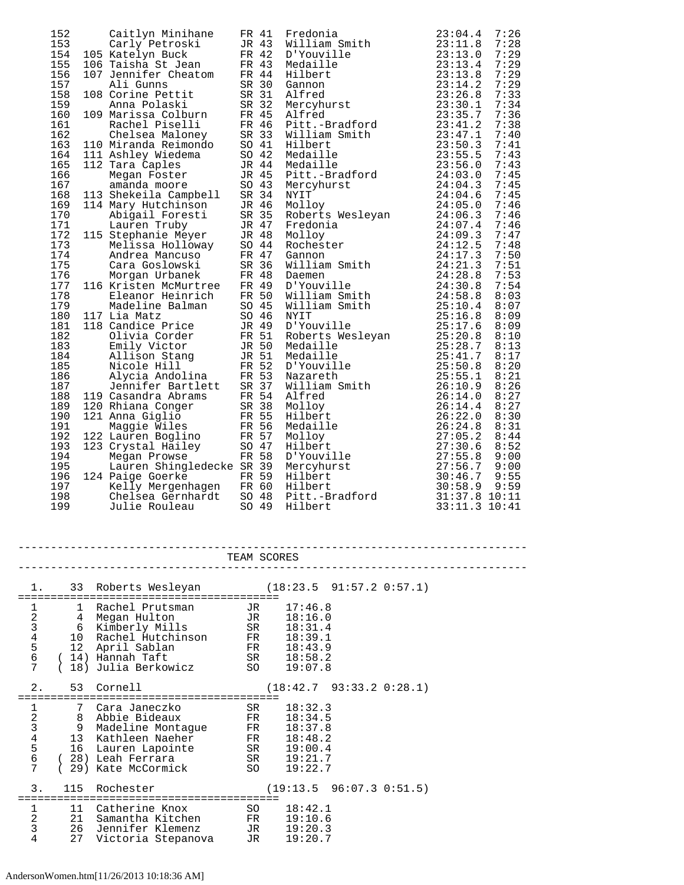| 152 | Caitlyn Minihane                                                                                                                                                                                                              | FR 41          |       | Fredonia                                                                                                                                                                                                                                 | 23:04.4       | 7:26 |
|-----|-------------------------------------------------------------------------------------------------------------------------------------------------------------------------------------------------------------------------------|----------------|-------|------------------------------------------------------------------------------------------------------------------------------------------------------------------------------------------------------------------------------------------|---------------|------|
| 153 | Carly Petroski                                                                                                                                                                                                                |                | JR 43 | William Smith                                                                                                                                                                                                                            | 23:11.8       | 7:28 |
| 154 | 105 Katelyn Buck                                                                                                                                                                                                              | FR 42          |       | D'Youville                                                                                                                                                                                                                               | 23:13.0       | 7:29 |
| 155 | FR 43<br>106 Taisha St Jean                                                                                                                                                                                                   |                |       | Medaille                                                                                                                                                                                                                                 | 23:13.4       | 7:29 |
| 156 | 107 Jennifer Cheatom FR 44                                                                                                                                                                                                    |                |       | Hilbert                                                                                                                                                                                                                                  | 23:13.8       | 7:29 |
| 157 | Ali Gunns                                                                                                                                                                                                                     |                | SR 30 | Gannon                                                                                                                                                                                                                                   | 23:14.2       | 7:29 |
| 158 | SR 31<br>108 Corine Pettit                                                                                                                                                                                                    |                |       | Alfred                                                                                                                                                                                                                                   | 23:26.8       | 7:33 |
| 159 | Anna Polaski                                                                                                                                                                                                                  | SR 32          |       | Altrea<br>Mercyhurst 23:30.1<br>11fred 23:35.7<br>23:31.2                                                                                                                                                                                |               | 7:34 |
| 160 | 109 Marissa Colburn FR 45                                                                                                                                                                                                     |                |       |                                                                                                                                                                                                                                          |               | 7:36 |
| 161 |                                                                                                                                                                                                                               |                |       |                                                                                                                                                                                                                                          |               | 7:38 |
| 162 |                                                                                                                                                                                                                               |                |       |                                                                                                                                                                                                                                          |               | 7:40 |
| 163 |                                                                                                                                                                                                                               |                |       |                                                                                                                                                                                                                                          |               | 7:41 |
| 164 | 109 Marison -<br>Rachel Piselli FK 40<br>Chelsea Maloney SR 33<br>110 Miranda Reimondo SO 41<br>111 Ashley Wiedema SO 42<br>112 Tara Caples JR 44<br>Megan Foster JR 45<br>Megan Foster JR 45                                 |                |       |                                                                                                                                                                                                                                          |               | 7:43 |
| 165 |                                                                                                                                                                                                                               |                |       |                                                                                                                                                                                                                                          |               | 7:43 |
| 166 |                                                                                                                                                                                                                               |                |       |                                                                                                                                                                                                                                          |               | 7:45 |
| 167 |                                                                                                                                                                                                                               |                |       |                                                                                                                                                                                                                                          |               | 7:45 |
| 168 | amanda moore 50 43<br>113 Shekeila Campbell 5R 34                                                                                                                                                                             |                |       |                                                                                                                                                                                                                                          |               | 7:45 |
| 169 | 114 Mary Hutchinson                                                                                                                                                                                                           |                |       |                                                                                                                                                                                                                                          |               | 7:46 |
| 170 |                                                                                                                                                                                                                               |                |       |                                                                                                                                                                                                                                          |               | 7:46 |
| 171 |                                                                                                                                                                                                                               |                |       |                                                                                                                                                                                                                                          |               | 7:46 |
| 172 |                                                                                                                                                                                                                               |                |       |                                                                                                                                                                                                                                          |               | 7:47 |
| 173 | 115 Stephanie Meyer JR 48<br>Melissa Holloway SO 44                                                                                                                                                                           |                |       |                                                                                                                                                                                                                                          |               | 7:48 |
| 174 |                                                                                                                                                                                                                               |                |       |                                                                                                                                                                                                                                          |               | 7:50 |
| 175 |                                                                                                                                                                                                                               |                |       | Corine Feurino 1983<br>Anna Polaski SR 32 Mercyhurst<br>Marisa Colburn FR 46 Pitt.-Bradford 23:35.7<br>Rachel Piselli FR 46 Pitt.-Bradford 23:41.2<br>Chelsea Maloney SR 33 William Smith 23:47.1<br>Miranda Reimondo SO 41 Hilbert 23:5 |               | 7:51 |
| 176 |                                                                                                                                                                                                                               |                |       |                                                                                                                                                                                                                                          |               | 7:53 |
| 177 | 116 Kristen McMurtree FR 49 D'Youville                                                                                                                                                                                        |                |       |                                                                                                                                                                                                                                          |               | 7:54 |
| 178 |                                                                                                                                                                                                                               |                |       |                                                                                                                                                                                                                                          |               | 8:03 |
| 179 |                                                                                                                                                                                                                               |                |       |                                                                                                                                                                                                                                          |               | 8:07 |
| 180 | 117 Lia Matz                                                                                                                                                                                                                  |                |       | NYIT<br>D'Youville 25:1/.0<br>Roberts Wesleyan 25:20.8<br>Medaille 25:28.7<br>Medaille 25:41.7<br>D'Youville 25:50.8<br>25:55.1<br>25:55.1                                                                                               |               | 8:09 |
| 181 | 118 Candice Price                                                                                                                                                                                                             |                |       |                                                                                                                                                                                                                                          |               | 8:09 |
| 182 |                                                                                                                                                                                                                               |                |       |                                                                                                                                                                                                                                          |               | 8:10 |
| 183 |                                                                                                                                                                                                                               |                |       |                                                                                                                                                                                                                                          |               | 8:13 |
| 184 |                                                                                                                                                                                                                               |                |       |                                                                                                                                                                                                                                          |               | 8:17 |
| 185 | Candice Price<br>Candice Price<br>Olivia Corder<br>Emily Victor<br>Emily Victor<br>Mison Stang<br>Micole Hill<br>Nicole Hill<br>Nicole Hill<br>Nicole Hill<br>TR 52<br>Jennifer Bartlett<br>SR 37<br>Casandra Abrams<br>FR 54 |                |       |                                                                                                                                                                                                                                          |               | 8:20 |
| 186 |                                                                                                                                                                                                                               |                |       |                                                                                                                                                                                                                                          |               | 8:21 |
| 187 |                                                                                                                                                                                                                               |                |       | Nazaretn<br>William Smith                                                                                                                                                                                                                | 26:10.9       | 8:26 |
| 188 | 119 Casandra Abrams<br>FR 54                                                                                                                                                                                                  |                |       | Alfred                                                                                                                                                                                                                                   | 26:14.0       | 8:27 |
| 189 | 120 Rhiana Conger                                                                                                                                                                                                             | SR 38<br>FR 55 |       | Molloy                                                                                                                                                                                                                                   | 26:14.4       | 8:27 |
| 190 | 121 Anna Giglio                                                                                                                                                                                                               |                |       | Hilbert                                                                                                                                                                                                                                  | 26:22.0       | 8:30 |
| 191 | Maggie Wiles                                                                                                                                                                                                                  |                | FR 56 | Medaille                                                                                                                                                                                                                                 | 26:24.8       | 8:31 |
| 192 | 122 Lauren Boglino                                                                                                                                                                                                            |                | FR 57 | Molloy                                                                                                                                                                                                                                   | 27:05.2       | 8:44 |
| 193 | SO <sub>47</sub><br>123 Crystal Hailey                                                                                                                                                                                        |                |       | Hilbert                                                                                                                                                                                                                                  | 27:30.6       | 8:52 |
| 194 | Megan Prowse                                                                                                                                                                                                                  | FR 58          |       | D'Youville                                                                                                                                                                                                                               | 27:55.8       | 9:00 |
| 195 | Lauren Shingledecke SR 39                                                                                                                                                                                                     |                |       | Mercyhurst                                                                                                                                                                                                                               | 27:56.7       | 9:00 |
| 196 | 124 Paige Goerke                                                                                                                                                                                                              |                | FR 59 | Hilbert                                                                                                                                                                                                                                  | 30:46.7       | 9:55 |
| 197 | Kelly Mergenhagen FR 60                                                                                                                                                                                                       |                |       | Hilbert                                                                                                                                                                                                                                  | 30:58.9       | 9:59 |
| 198 | Chelsea Gernhardt                                                                                                                                                                                                             |                | SO 48 | Hilbert<br>Pitt.-Bradford                                                                                                                                                                                                                | 31:37.8 10:11 |      |
| 199 | Julie Rouleau                                                                                                                                                                                                                 | SO 49          |       | Hilbert                                                                                                                                                                                                                                  | 33:11.3 10:41 |      |

|                                                 | TEAM SCORES    |                                                                                                                                                                        |                                                                                 |  |  |  |
|-------------------------------------------------|----------------|------------------------------------------------------------------------------------------------------------------------------------------------------------------------|---------------------------------------------------------------------------------|--|--|--|
|                                                 |                | 33 Roberts Wesleyan                                                                                                                                                    | (18:23.5 91:57.2 0:57.1)                                                        |  |  |  |
| 1234567                                         |                | 1 Rachel Prutsman JR 17:46.8<br>4 Megan Hulton<br>6 Kimberly Mills<br>10 Rachel Hutchinson FR 18:39.1<br>12 April Sablan<br>14) Hannah Taft                            | JR 18:16.0<br>SR 18:31.4<br>FR 18:43.9<br>SR 18:58.2<br>19:07.8                 |  |  |  |
| 2.                                              |                | 53 Cornell                                                                                                                                                             | (18:42.7 93:33.2 0:28.1)                                                        |  |  |  |
| $1\,$<br>234567                                 | 7              | Cara Janeczko<br>8 Abbie Bideaux<br>9 Madeline Montague FR<br>13 Kathleen Naeher<br>16 Lauren Lapointe SR 19:00.4<br>28) Leah Ferrara SR 19:21.7<br>29) Kate McCormick | SR 18:32.3<br>FR 18:34.5<br>18:37.8<br>FR 18:48.2<br>19:22.7<br>SO <sub>3</sub> |  |  |  |
| 3.                                              |                | 115 Rochester                                                                                                                                                          | (19:13.5 96:07.3 0:51.5)                                                        |  |  |  |
| $\begin{array}{c} 1 \\ 2 \\ 3 \end{array}$<br>4 | 11<br>21<br>27 | Catherine Knox<br>Samantha Kitchen<br>26 Jennifer Klemenz<br>Victoria Stepanova JR                                                                                     | $SO$ $18:42.1$<br>FR 19:10.6<br>JR 19:20.3<br>19:20.7                           |  |  |  |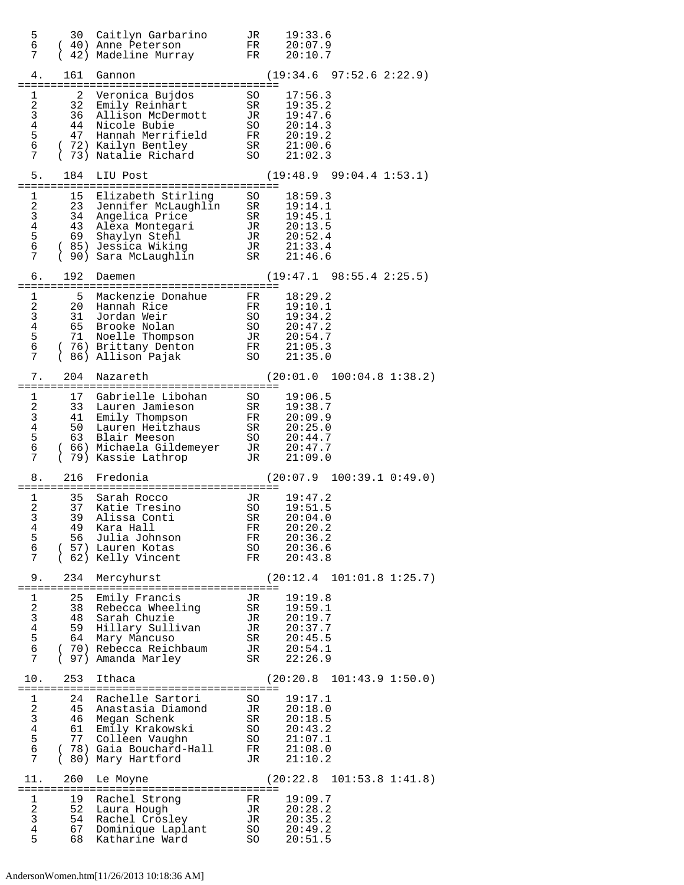| 5<br>6<br>7                                                           |                                        | 30 Caitlyn Garbarino<br>(40) Anne Peterson<br>42) Madeline Murray                                                                                  | JR.<br>FR<br>FR                                | 19:33.6<br>20:07.9<br>20:10.7                                                   |
|-----------------------------------------------------------------------|----------------------------------------|----------------------------------------------------------------------------------------------------------------------------------------------------|------------------------------------------------|---------------------------------------------------------------------------------|
| 4.                                                                    | 161                                    | Gannon                                                                                                                                             |                                                | $(19:34.6 \t97:52.6 \t2:22.9)$                                                  |
| 1<br>2<br>3<br>$\overline{4}$<br>5<br>6<br>7                          | 2<br>32<br>36<br>44<br>47<br>$\left($  | Veronica Bujdos<br>Emily Reinhart<br>Allison McDermott<br>Nicole Bubie<br>Hannah Merrifield<br>72) Kailyn Bentley<br>73) Natalie Richard           | SO.<br>SR<br>JR<br>SO<br>SO                    | 17:56.3<br>19:35.2<br>19:47.6<br>20:14.3<br>FR 20:19.2<br>SR 21:00.6<br>21:02.3 |
| 5.                                                                    | 184                                    | LIU Post                                                                                                                                           |                                                | (19:48.9 99:04.4 1:53.1)                                                        |
| 1<br>2<br>3 <sup>7</sup><br>$\overline{4}$<br>5<br>6<br>7             | 15<br>34<br>43<br>69                   | Elizabeth Stirling<br>23 Jennifer McLaughlin<br>Angelica Price<br>Alexa Montegari<br>Shaylyn Stehl<br>(85) Jessica Wiking<br>( 90) Sara McLaughlin | SO<br>SR<br>SR                                 | 18:59.3<br>19:14.1<br>SR 19:45.1<br>TR 20:13.5<br>21:46.6                       |
| 6.                                                                    | 192                                    | Daemen                                                                                                                                             |                                                | $(19:47.1$ $98:55.4$ $2:25.5)$                                                  |
| 1<br>$\overline{a}$<br>$\mathbf{3}$<br>$4\overline{ }$<br>5<br>6<br>7 | 5<br>$\left($                          | Mackenzie Donahue<br>20 Hannah Rice<br>31 Jordan Weir<br>65 Brooke Nolan<br>71 Noelle Thompson<br>76) Brittany Denton<br>86) Allison Pajak         | FR<br>FR<br>SO<br>SO<br>SO                     | 18:29.2<br>19:10.1<br>19:34.2<br>20:47.2<br>JR 20:54.7<br>FR 21:05.3<br>21:35.0 |
| 7.                                                                    | 204                                    | Nazareth                                                                                                                                           |                                                | $(20:01.0 \t100:04.8 \t1:38.2)$                                                 |
| 1<br>2<br>3<br>$\overline{4}$<br>5<br>6<br>7                          | 17<br>33<br>41<br>50<br>63<br>$\left($ | Gabrielle Libohan<br>Lauren Jamieson<br>Emily Thompson<br>Lauren Heitzhaus<br>Blair Meeson<br>( 66) Michaela Gildemeyer<br>79) Kassie Lathrop      | SO<br>SR<br>FR<br>SR<br>JR                     | 19:06.5<br>19:38.7<br>20:09.9<br>20:25.0<br>SO 20:44.7<br>JR 20:47.7<br>21:09.0 |
| 8.                                                                    | 216                                    | Fredonia                                                                                                                                           |                                                | $(20:07.9 \quad 100:39.1 \quad 0:49.0)$                                         |
| 1<br>2<br>3<br>4<br>5<br>6<br>7                                       | 35<br>37<br>39<br>56                   | Sarah Rocco<br>Katie Tresino<br>Alissa Conti<br>49   Kara Hall<br>Julia Johnson<br>(57) Lauren Kotas<br>(62) Kelly Vincent                         | JR<br>SO<br>SR<br>${\rm FR}$<br>FR<br>SO<br>FR | 19:47.2<br>19:51.5<br>20:04.0<br>20:20.2<br>20:36.2<br>20:36.6<br>20:43.8       |
| 9.                                                                    | 234                                    | Mercyhurst                                                                                                                                         |                                                | (20:12.4 101:01.8 1:25.7)                                                       |
| 1<br>2<br>$\mathsf{3}$<br>$\overline{4}$<br>5<br>$\epsilon$<br>7      | 25<br>59<br>64                         | Emily Francis<br>38 Rebecca Wheeling<br>48 Sarah Chuzie<br>Hillary Sullivan<br>Mary Mancuso<br>(70) Rebecca Reichbaum<br>97) Amanda Marley         | JR<br>SR<br>JR<br>JR<br>SR                     | 19:19.8<br>19:59.1<br>20:19.7<br>20:37.7<br>SR 20:45.5<br>JR 20:54.1<br>22:26.9 |
| 10.                                                                   | 253                                    | Ithaca                                                                                                                                             |                                                | (20:20.8 101:43.9 1:50.0)                                                       |
| 1<br>2<br>3<br>$\,4$<br>5<br>$\epsilon$<br>7                          | 24<br>45<br>46                         | Rachelle Sartori<br>Anastasia Diamond<br>Megan Schenk<br>61 Emily Krakowski<br>77 Colleen Vaughn<br>(78) Gaia Bouchard-Hall<br>( 80) Mary Hartford | SO<br>JR<br>SR<br>SO<br>SO<br>FR<br>JR         | 19:17.1<br>20:18.0<br>20:18.5<br>20:43.2<br>$21:07.1$<br>$21:08.0$<br>21:10.2   |
| 11.                                                                   | 260                                    | Le Moyne                                                                                                                                           |                                                | $(20:22.8 \t101:53.8 \t1:41.8)$                                                 |
| 1<br>2<br>3<br>$\overline{4}$<br>5                                    | 19<br>52<br>54<br>67<br>68             | Rachel Strong<br>Laura Hough<br>Rachel Crosley<br>Dominique Laplant<br>Katharine Ward                                                              | FR<br>JR<br>JR<br>SO<br>SO.                    | 19:09.7<br>20:28.2<br>$20:33.2$<br>$20:49.2$<br>$-51.5$<br>20:51.5              |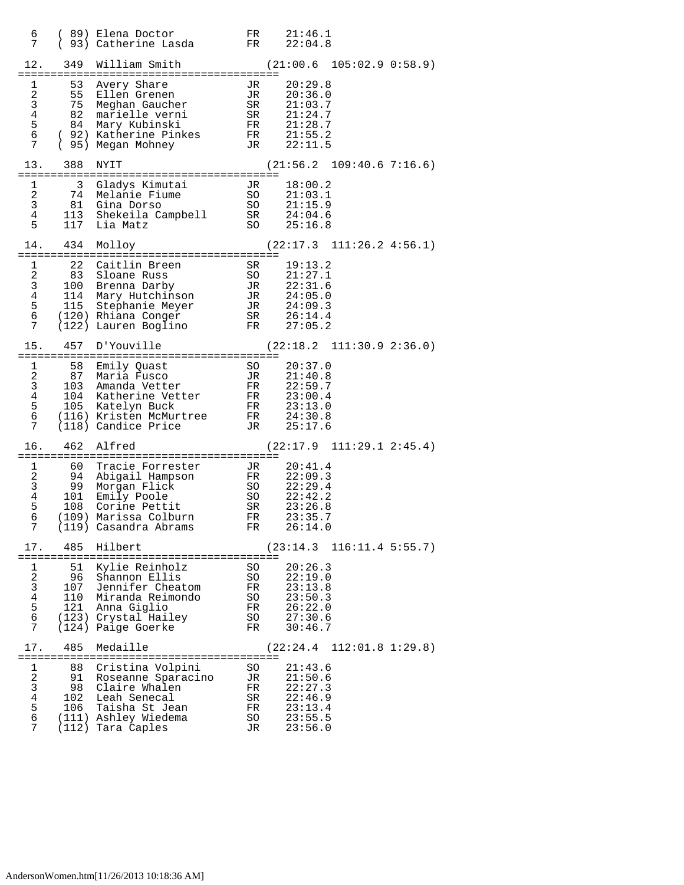| 6 —<br>7                                     |                              | (89) Elena Doctor<br>$(93)$ Catherine Lasda FR $22:04.8$                                                                                                                                                                                                                                                    |                                        | FR 21:46.1                                                                |
|----------------------------------------------|------------------------------|-------------------------------------------------------------------------------------------------------------------------------------------------------------------------------------------------------------------------------------------------------------------------------------------------------------|----------------------------------------|---------------------------------------------------------------------------|
|                                              |                              | 12. 349 William Smith                                                                                                                                                                                                                                                                                       |                                        | $(21:00.6 \t105:02.9 \t0:58.9)$                                           |
|                                              |                              | 1 53 Avery Share<br>1 53 Avery Share<br>2 55 Ellen Grenen JR 20:36.0<br>3 75 Meghan Gaucher SR 21:03.7<br>4 82 marielle verni SR 21:24.7<br>5 84 Mary Kubinski FR 21:28.7<br>6 (92) Katherine Pinkes FR 21:55.2<br>7 (95) Megan Mohney JR 22:11.5                                                           |                                        | JR 20:29.8                                                                |
|                                              | 13. 388 NYIT                 |                                                                                                                                                                                                                                                                                                             |                                        | $(21:56.2 \quad 109:40.6 \quad 7:16.6)$                                   |
|                                              |                              | 1 3 Gladys Kimutai JR 18:00.2<br>2 74 Melanie Fiume SO 21:03.1<br>3 81 Gina Dorso SO 21:15.9<br>4 113 Shekeila Campbell SR 24:04.6<br>5 117 Lia Matz SO 25:16.8                                                                                                                                             |                                        |                                                                           |
|                                              |                              | 14. 434 Molloy                                                                                                                                                                                                                                                                                              |                                        | $(22:17.3 \quad 111:26.2 \quad 4:56.1)$                                   |
|                                              |                              |                                                                                                                                                                                                                                                                                                             |                                        |                                                                           |
|                                              |                              | 15. 457 D'Youville                                                                                                                                                                                                                                                                                          |                                        | $(22:18.2 \quad 111:30.9 \quad 2:36.0)$                                   |
| 7                                            |                              | 1 58 Emily Quast 50 20:37.0<br>2 87 Maria Fusco JR 21:40.8<br>3 103 Amanda Vetter FR 22:59.7<br>4 104 Katherine Vetter FR 23:00.4<br>5 105 Katelyn Buck FR 23:13.0<br>6 (116) Kristen McMurtree FR 23:13.0<br>(116) Kristen McMurtree FR 24:30.8<br>(118) Candice Price 5 JR 25:17.6<br>(118) Candice Price |                                        |                                                                           |
|                                              |                              | 16. 462 Alfred                                                                                                                                                                                                                                                                                              |                                        | $(22:17.9 \quad 111:29.1 \quad 2:45.4)$                                   |
| $7\overline{ }$                              |                              | 1 60 Tracie Forrester 11 20:41.4<br>2 94 Abigail Hampson FR 22:09.3<br>3 99 Morgan Flick SO 22:29.4<br>4 101 Emily Poole SO 22:42.2<br>5 108 Corine Pettit SR 23:26.8<br>4 101 Emily Poole SO 22:42.2<br>5 108 Orine Pettit SR 23:26.8<br>6<br>(119) Casandra Abrams                                        | FR                                     | 26:14.0                                                                   |
| 17.                                          | 485                          | Hilbert                                                                                                                                                                                                                                                                                                     |                                        | (23:14.3 116:11.4 5:55.7)                                                 |
| 1<br>2<br>$\mathfrak{Z}$<br>4<br>5<br>6<br>7 | 51<br>96<br>110<br>121       | Kylie Reinholz<br>Shannon Ellis<br>107 Jennifer Cheatom<br>Miranda Reimondo<br>Anna Giglio<br>(123) Crystal Hailey<br>(124) Paige Goerke                                                                                                                                                                    | SO<br>SO<br>FR<br>SO<br>FR<br>SO<br>FR | 20:26.3<br>22:19.0<br>23:13.8<br>23:50.3<br>26:22.0<br>27:30.6<br>30:46.7 |
| 17.                                          | 485                          | Medaille                                                                                                                                                                                                                                                                                                    |                                        | $(22:24.4 \quad 112:01.8 \quad 1:29.8)$                                   |
| 1<br>2<br>3<br>$\overline{4}$<br>5<br>6<br>7 | 88<br>91<br>98<br>102<br>106 | Cristina Volpini<br>Roseanne Sparacino<br>Claire Whalen<br>Leah Senecal<br>Taisha St Jean<br>(111) Ashley Wiedema<br>(112) Tara Caples                                                                                                                                                                      | SO<br>JR<br>FR<br>SR<br>FR<br>SO<br>JR | 21:43.6<br>21:50.6<br>22:27.3<br>22:46.9<br>23:13.4<br>23:55.5<br>23:56.0 |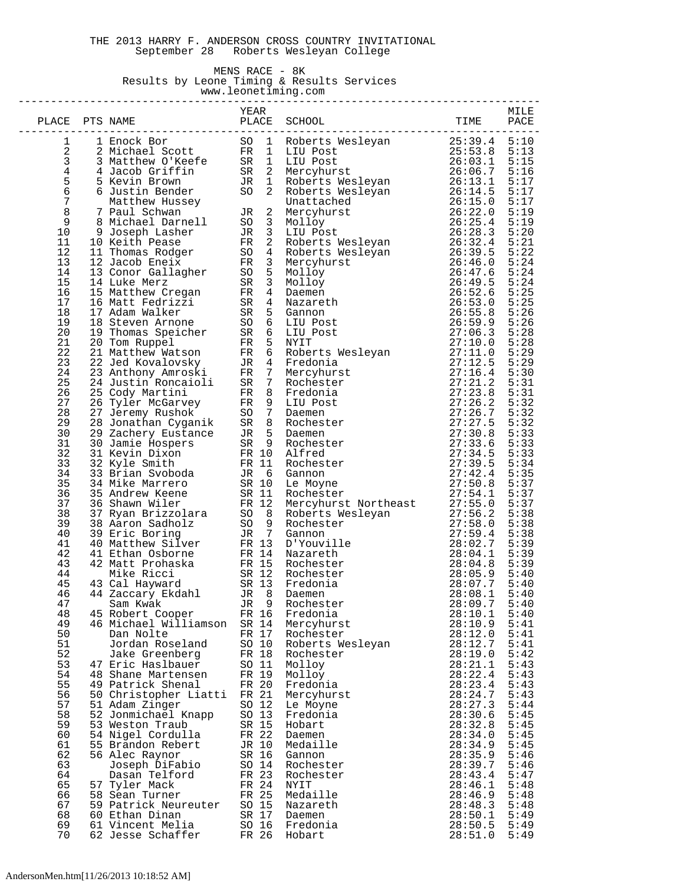#### THE 2013 HARRY F. ANDERSON CROSS COUNTRY INVITATIONAL September 28 Roberts Wesleyan College

## MENS RACE - 8K Results by Leone Timing & Results Services

 www.leonetiming.com --------------------------------------------------------------------------------

|                                              |                                         | YEAR           |       |                         |                    | MILE         |
|----------------------------------------------|-----------------------------------------|----------------|-------|-------------------------|--------------------|--------------|
| PLACE                                        | PTS NAME                                |                | PLACE | SCHOOL                  | TIME               | PACE         |
| ı                                            |                                         |                |       |                         |                    |              |
| $\boldsymbol{2}$                             |                                         |                |       |                         |                    |              |
| 3                                            |                                         |                |       |                         |                    |              |
| $\begin{array}{c}\n4 \\ 5 \\ 6\n\end{array}$ |                                         |                |       |                         |                    |              |
|                                              |                                         |                |       |                         |                    |              |
| 7                                            |                                         |                |       |                         |                    |              |
| $\,8\,$                                      |                                         |                |       |                         |                    |              |
| $\mathsf 9$                                  |                                         |                |       |                         |                    |              |
| 10                                           |                                         |                |       |                         |                    |              |
| 11                                           |                                         |                |       |                         |                    |              |
| 12<br>13                                     |                                         |                |       |                         |                    |              |
| 14                                           |                                         |                |       |                         |                    |              |
| 15                                           |                                         |                |       |                         |                    |              |
| 16                                           |                                         |                |       |                         |                    |              |
| 17                                           |                                         |                |       |                         |                    |              |
| 18                                           |                                         |                |       |                         |                    |              |
| 19                                           |                                         |                |       |                         |                    |              |
| 20<br>21                                     |                                         |                |       |                         |                    |              |
| 22                                           |                                         |                |       |                         |                    |              |
| 23                                           |                                         |                |       |                         |                    |              |
| 24                                           |                                         |                |       |                         |                    |              |
| 25                                           |                                         |                |       |                         |                    |              |
| 26                                           |                                         |                |       |                         |                    |              |
| 27<br>28                                     |                                         |                |       |                         |                    |              |
| 29                                           |                                         |                |       |                         |                    |              |
| 30                                           |                                         |                |       |                         |                    |              |
| 31                                           |                                         |                |       |                         |                    |              |
| 32                                           |                                         |                |       |                         |                    |              |
| 33                                           |                                         |                |       |                         |                    |              |
| 34                                           |                                         |                |       |                         |                    |              |
| 35<br>36                                     |                                         |                |       |                         |                    |              |
| 37                                           |                                         |                |       |                         |                    |              |
| 38                                           |                                         |                |       |                         |                    |              |
| 39                                           |                                         |                |       |                         |                    |              |
| 40                                           |                                         |                |       |                         |                    |              |
| 41                                           |                                         |                |       |                         |                    |              |
| 42<br>43                                     |                                         |                |       |                         |                    |              |
| 44                                           |                                         |                |       |                         |                    |              |
| 45                                           |                                         |                |       |                         |                    |              |
| 46                                           |                                         |                |       |                         |                    |              |
| 47                                           | Sam Kwak               JR 9 Rochester   |                |       |                         |                    |              |
| 48                                           | 45 Robert Cooper                        | FR 16          |       | Fredonia                | 28:10.1            | 5:40         |
| 49<br>50                                     | 46 Michael Williamson<br>Dan Nolte      | SR 14<br>FR 17 |       | Mercyhurst<br>Rochester | 28:10.9<br>28:12.0 | 5:41<br>5:41 |
| 51                                           | Jordan Roseland                         | SO 10          |       | Roberts Wesleyan        | 28:12.7            | 5:41         |
| 52                                           | Jake Greenberg                          | FR 18          |       | Rochester               | 28:19.0            | 5:42         |
| 53                                           | 47 Eric Haslbauer                       | SO 11          |       | Molloy                  | 28:21.1            | 5:43         |
| 54                                           | 48 Shane Martensen                      | FR 19          |       | Molloy                  | 28:22.4            | 5:43         |
| 55                                           | 49 Patrick Shenal                       | FR 20          |       | Fredonia                | 28:23.4            | 5:43         |
| 56<br>57                                     | 50 Christopher Liatti<br>51 Adam Zinger | FR 21<br>SO 12 |       | Mercyhurst<br>Le Moyne  | 28:24.7<br>28:27.3 | 5:43<br>5:44 |
| 58                                           | 52 Jonmichael Knapp                     | SO 13          |       | Fredonia                | 28:30.6            | 5:45         |
| 59                                           | 53 Weston Traub                         | SR 15          |       | Hobart                  | 28:32.8            | 5:45         |
| 60                                           | 54 Nigel Cordulla                       | FR 22          |       | Daemen                  | 28:34.0            | 5:45         |
| 61                                           | 55 Brandon Rebert                       | JR 10          |       | Medaille                | 28:34.9            | 5:45         |
| 62                                           | 56 Alec Raynor                          | SR 16          |       | Gannon                  | 28:35.9            | 5:46         |
| 63                                           | Joseph DiFabio                          | SO 14          |       | Rochester               | 28:39.7            | 5:46         |
| 64<br>65                                     | Dasan Telford<br>57 Tyler Mack          | FR 23<br>FR 24 |       | Rochester<br>NYIT       | 28:43.4<br>28:46.1 | 5:47<br>5:48 |
| 66                                           | 58 Sean Turner                          | FR 25          |       | Medaille                | 28:46.9            | 5:48         |
| 67                                           | 59 Patrick Neureuter                    | SO 15          |       | Nazareth                | 28:48.3            | 5:48         |
| 68                                           | 60 Ethan Dinan                          | SR 17          |       | Daemen                  | 28:50.1            | 5:49         |
| 69                                           | 61 Vincent Melia                        | SO 16          |       | Fredonia                | 28:50.5            | 5:49         |
| 70                                           | 62 Jesse Schaffer                       | FR 26          |       | Hobart                  | 28:51.0            | 5:49         |

## AndersonMen.htm[11/26/2013 10:18:52 AM]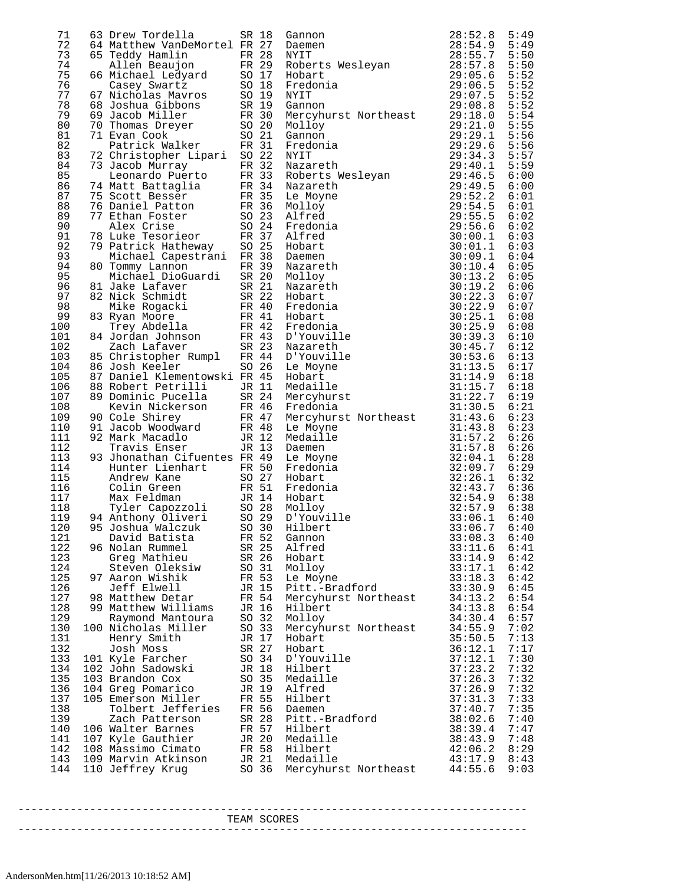| 71         | 63 Drew Tordella                                                 |       | SR 18 | Gannon                               | 28:52.8            | 5:49         |
|------------|------------------------------------------------------------------|-------|-------|--------------------------------------|--------------------|--------------|
| 72         | 64 Matthew VanDeMortel FR 27                                     |       |       | Daemen                               | 28:54.9            | 5:49         |
| 73         | 65 Teddy Hamlin                                                  |       | FR 28 | NYIT                                 | 28:55.7            | 5:50         |
| 74         | Allen Beaujon                                                    |       | FR 29 |                                      | 28:57.8            | 5:50         |
| 75         | 66 Michael Ledyard                                               |       | SO 17 | Roberts Wesleyan<br>Hobart<br>Hobart | 29:05.6            | 5:52         |
| 76         | Casey Swartz                                                     | SO 18 |       | Fredonia                             | 29:06.5            | 5:52         |
| 77         | 67 Nicholas Mavros                                               | SO 19 |       | NYIT                                 | 29:07.5            | 5:52         |
| 78         | 68 Joshua Gibbons                                                | SR 19 |       | Gannon                               | 29:08.8            | 5:52         |
| 79         | 69 Jacob Miller                                                  | FR 30 |       | Mercyhurst Northeast                 | 29:18.0            | 5:54         |
| 80         | 70 Thomas Dreyer                                                 | SO 20 |       | Molloy                               | 29:21.0            | 5:55         |
| 81         | 71 Evan Cook                                                     | SO 21 |       | Gannon                               | 29:29.1            | 5:56         |
| 82         | Patrick Walker                                                   | FR 31 |       | Fredonia                             | 29:29.6            | 5:56         |
| 83         | 72 Christopher Lipari SO 22                                      |       |       | NYIT                                 | 29:34.3            | 5:57         |
| 84         | 73 Jacob Murray                                                  | FR 32 |       | Nazareth                             | 29:40.1            | 5:59         |
| 85         | Leonardo Puerto                                                  |       | FR 33 | Roberts Wesleyan<br>Nazareth         | 29:46.5            | 6:00         |
| 86         | 74 Matt Battaglia                                                |       | FR 34 | Nazareth                             | 29:49.5            | 6:00         |
| 87         | 75 Scott Besser                                                  | FR 35 |       | Le Moyne                             | 29:52.2            | 6:01         |
| 88         | 76 Daniel Patton                                                 | FR 36 |       | Molloy                               | 29:54.5            | 6:01         |
| 89         | 77 Ethan Foster                                                  | SO 23 |       | Alfred                               | 29:55.5            | 6:02         |
| 90         | Alex Crise                                                       |       | SO 24 | Fredonia                             | 29:56.6            | 6:02         |
| 91         | 78 Luke Tesorieor                                                | FR 37 |       | Alfred                               | 30:00.1            | 6:03         |
| 92         | 79 Patrick Hatheway                                              | SO 25 |       | Hobart                               | 30:01.1            | 6:03         |
| 93         | Michael Capestrani FR 38                                         |       |       | Daemen                               | 30:09.1            | 6:04         |
| 94         | 80 Tommy Lannon                                                  |       | FR 39 | Nazareth                             | 30:10.4            | 6:05         |
| 95         | Michael DioGuardi                                                |       | SR 20 | Molloy                               | 30:13.2            | 6:05         |
| 96         | 81 Jake Lafaver                                                  |       | SR 21 | Nazareth                             | 30:19.2            | 6:06         |
| 97         | 82 Nick Schmidt                                                  |       | SR 22 | Hobart                               | 30:22.3            | 6:07         |
| 98         | Mike Rogacki                                                     | FR 40 |       | Fredonia                             | 30:22.9            | 6:07         |
| 99         | 83 Ryan Moore                                                    |       | FR 41 | Hobart                               | 30:25.1            | 6:08         |
| 100<br>101 | Trey Abdella                                                     |       | FR 42 | Fredonia                             | 30:25.9            | 6:08<br>6:10 |
| 102        | 84 Jordan Johnson<br>Carl Inferer                                | FR 43 | SR 23 | D'Youville<br>Nazareth               | 30:39.3<br>30:45.7 | 6:12         |
| 103        | Zach Lafaver                                                     | FR 44 |       |                                      | 30:53.6            | 6:13         |
| 104        | 85 Christopher Rumpl<br>86 Josh Keeler                           |       | SO 26 | D'Youville<br>Le Moyne               | 31:13.5            | 6:17         |
| 105        | 87 Daniel Klementowski FR 45                                     |       |       | Hobart                               | 31:14.9            | 6:18         |
| 106        | 88 Robert Petrilli                                               |       | JR 11 | Medaille                             | 31:15.7            | 6:18         |
| 107        | 89 Dominic Pucella                                               |       | SR 24 | Mercyhurst                           | 31:22.7            | 6:19         |
| 108        | Kevin Nickerson                                                  | FR 46 |       | Fredonia                             | 31:30.5            | 6:21         |
| 109        | 90 Cole Shirey                                                   |       | FR 47 | Mercyhurst Northeast                 | 31:43.6            | 6:23         |
| 110        | 91 Jacob Woodward                                                | FR 48 |       | Le Moyne                             | 31:43.8            | 6:23         |
| 111        | 92 Mark Macadlo                                                  |       | JR 12 | Medaille                             | 31:57.2            | 6:26         |
| 112        | Travis Enser                                                     | JR 13 |       | Daemen                               | 31:57.8            | 6:26         |
| 113        | 93 Jhonathan Cifuentes FR 49                                     |       |       | Le Moyne                             | 32:04.1            | 6:28         |
| 114        | Hunter Lienhart                                                  | FR 50 |       | Fredonia                             | 32:09.7            | 6:29         |
| 115        | Andrew Kane                                                      |       | SO 27 | Hobart                               | 32:26.1            | 6:32         |
| 116        | Colin Green<br>Max Feldman<br>Tyler Capozzoli<br>Tithony Oliveri | FR 51 |       | Fredonia                             | 32:43.7            | 6:36         |
| 117        |                                                                  | JR 14 |       | Hobart                               | 32:54.9            | 6:38         |
| 118        |                                                                  | SO 28 |       | Molloy                               | 32:57.9            | 6:38         |
| 119        | 94 Anthony Oliveri                                               | SO 29 |       | D'Youville                           | 33:06.1            | 6:40         |
| 120        | 95 Joshua Walczuk SO 30 Hilbert                                  |       |       |                                      | 33:06.7 6:40       |              |
| 121        | David Batista                                                    | FR 52 |       | Gannon                               | 33:08.3            | 6:40         |
| 122        | 96 Nolan Rummel                                                  |       | SR 25 | Alfred                               | 33:11.6            | 6:41         |
| 123        | Greg Mathieu                                                     |       | SR 26 | Hobart                               | 33:14.9            | 6:42         |
| 124        | Steven Oleksiw                                                   |       | SO 31 | Molloy                               | 33:17.1            | 6:42         |
| 125        | 97 Aaron Wishik                                                  | FR 53 |       | Le Moyne                             | 33:18.3            | 6:42         |
| 126        | Jeff Elwell                                                      | JR 15 |       | Pitt.-Bradford                       | 33:30.9            | 6:45         |
| 127        | 98 Matthew Detar                                                 | FR 54 |       | Mercyhurst Northeast                 | 34:13.2            | 6:54         |
| 128        | 99 Matthew Williams                                              |       | JR 16 | Hilbert                              | 34:13.8            | 6:54         |
| 129        | Raymond Mantoura                                                 |       | SO 32 | Molloy                               | 34:30.4            | 6:57         |
| 130        | 100 Nicholas Miller                                              |       | SO 33 | Mercyhurst Northeast                 | 34:55.9            | 7:02         |
| 131        | Henry Smith                                                      |       | JR 17 | Hobart                               | 35:50.5            | 7:13         |
| 132        | Josh Moss                                                        |       | SR 27 | Hobart                               | 36:12.1            | 7:17         |
| 133        | 101 Kyle Farcher                                                 |       | SO 34 | D'Youville                           | 37:12.1            | 7:30         |
| 134        | 102 John Sadowski                                                |       | JR 18 | Hilbert                              | 37:23.2            | 7:32         |
| 135        | 103 Brandon Cox                                                  | SO 35 |       | Medaille                             | 37:26.3            | 7:32         |
| 136        | 104 Greg Pomarico                                                |       | JR 19 | Alfred                               | 37:26.9            | 7:32         |
| 137        | 105 Emerson Miller                                               | FR 55 |       | Hilbert                              | 37:31.3            | 7:33         |
| 138        | Tolbert Jefferies                                                | FR 56 |       | Daemen                               | 37:40.7            | 7:35         |
| 139        | Zach Patterson                                                   | SR 28 |       | Pitt.-Bradford                       | 38:02.6            | 7:40         |
| 140        | 106 Walter Barnes                                                |       | FR 57 | Hilbert                              | 38:39.4            | 7:47         |
| 141        | 107 Kyle Gauthier                                                | JR 20 |       | Medaille                             | 38:43.9            | 7:48         |
| 142        | 108 Massimo Cimato                                               |       | FR 58 | Hilbert                              | 42:06.2            | 8:29         |
| 143        | 109 Marvin Atkinson                                              |       | JR 21 | Medaille                             | 43:17.9            | 8:43         |
| 144        | 110 Jeffrey Krug                                                 |       | SO 36 | Mercyhurst Northeast                 | 44:55.6            | 9:03         |

TEAM SCORES

------------------------------------------------------------------------------

------------------------------------------------------------------------------

# AndersonMen.htm[11/26/2013 10:18:52 AM]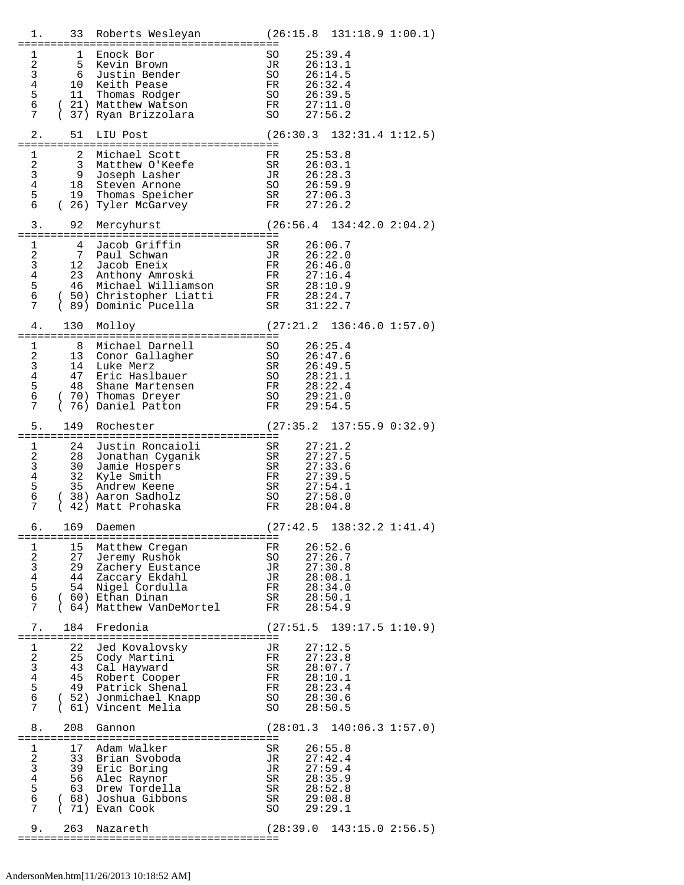| 1.                                                                                |          |                                                                                                                                                                                                                                                                                                  | 33 Roberts Wesleyan (26:15.8 131:18.9 1:00.1)                                                                 |
|-----------------------------------------------------------------------------------|----------|--------------------------------------------------------------------------------------------------------------------------------------------------------------------------------------------------------------------------------------------------------------------------------------------------|---------------------------------------------------------------------------------------------------------------|
| $\mathbf{1}$<br>$2^{\circ}$<br>6<br>7                                             | 1        | Enock Bor<br>SO<br>JR<br>SO<br>FR<br>SO<br>FR<br>5 Kevin Brown<br>3 6 Justin L.<br>4 10 Keith Pease<br>5 11 Thomas Rodge<br>6 Justin Bender<br>11 Thomas Rodger<br>(21) Matthew Watson<br>(37) Ryan Brizzolara (30 27:56.2                                                                       | 25:39.4<br>26:13.1<br>26:14.5<br>26:32.4<br>26:39.5<br>27:11.0                                                |
| 2.                                                                                | 51       | LIU Post                                                                                                                                                                                                                                                                                         | $(26:30.3 \quad 132:31.4 \quad 1:12.5)$                                                                       |
| $\mathbf{1}$<br>6 —                                                               |          | 2 Michael Scott<br>1<br>2<br>3<br>9<br>Joseph Lasher<br>4<br>18 Steven Arnone<br>19 Thomas Speicher<br>3 Matthew O'Keefe<br>9 Joseph Lasher<br>19 Thomas Speicher<br>(26) Tyler McGarvey                                                                                                         | FR 25:53.8<br>SR 26:03.1<br>JR 26:28.3<br>SO 26:59.9<br>SR 27:06.3<br>FR 27:26.2                              |
| 3.                                                                                | 92       | Mercyhurst                                                                                                                                                                                                                                                                                       | $(26:56.4 \quad 134:42.0 \quad 2:04.2)$                                                                       |
|                                                                                   |          |                                                                                                                                                                                                                                                                                                  |                                                                                                               |
| 4.                                                                                | 130      | Molloy                                                                                                                                                                                                                                                                                           | $(27:21.2 \quad 136:46.0 \quad 1:57.0)$                                                                       |
| $\mathbf{1}$<br>$\frac{2}{3}$<br>$4\overline{ }$<br>5 <sub>5</sub><br>6<br>7      |          | 8 Michael Darnell<br>8 Michael Darnell<br>13 Conor Gallagher<br>14 Luke Merz<br>47 Eric Haslbauer<br>48 Shane Martensen<br>70) Thomas Dreyer<br>70) Thomas Dreyer<br>50<br>13  Conor Gall<br>14  Luke Merz<br>47 Eric nasiwww.<br>48 Shane Martensen<br>(70) Thomas Dreyer<br>(76) Daniel Patton | 26:25.4<br>26:47.6<br>26:49.5<br>28:21.1<br>28:22.4<br>29:21.0<br>FR<br>29:54.5                               |
| 5.                                                                                | 149      | Rochester                                                                                                                                                                                                                                                                                        | $(27:35.2 \quad 137:55.9 \quad 0:32.9)$                                                                       |
|                                                                                   | $1 \t24$ |                                                                                                                                                                                                                                                                                                  | 27:21.2                                                                                                       |
|                                                                                   |          | (38) Aaron Sadholz                                                                                                                                                                                                                                                                               | 27:27.5<br>27:33.6<br>27:39.5<br>27:54.1<br>27:58.0<br>28:04.8                                                |
| 6.                                                                                |          | 2<br>2<br>3 30 Jamle<br>4 32 Kyle Smith<br>5 35 Andrew Keene<br>6 38) Aaron Sadholz<br>1 Matt Prohaska<br>169 Daemen                                                                                                                                                                             | $(27:42.5 \t138:32.2 \t1:41.4)$                                                                               |
| $\overline{a}$<br>$\mathbf{3}$<br>$4\overline{ }$<br>5<br>6<br>7                  |          | 1 15 Matthew Cregan<br>27 Jeremy Rushok<br>29 Zachery Eustance<br>44 Zaccary Ekdahl<br>54 Nigel Cordulla                                                                                                                                                                                         | FR 26:52.6<br>SO 27:26.7<br>JR 27:30.8<br>JR 28:34.0<br>FR 28:34.0<br>28:50.1<br>28:54.9                      |
| 7.                                                                                | 184      | Fredonia                                                                                                                                                                                                                                                                                         | $(27:51.5 \t139:17.5 \t1:10.9)$                                                                               |
| $\mathbf{1}$<br>$\overline{a}$<br>3 <sup>7</sup><br>4 <sup>1</sup><br>5<br>6<br>7 |          | 22 Jed Kovalovsky<br>25 Cody Martini<br>43 Cal Hayward<br>45 Robert Cooper<br>49 Patrick Shenal<br>( 52) Jonmichael Knapp<br>(61) Vincent Melia                                                                                                                                                  | 27:12.5<br>JR<br>FR 27:23.8<br>SR 28:07.7                                                                     |
| 8.                                                                                | 208      | Gannon                                                                                                                                                                                                                                                                                           | FR 28:10.1<br>FR 28:23.4<br>SO 28:30.6<br>SO 28:50.5<br>(28:01.3 140:06.3 1:57.0)                             |
| $\overline{a}$<br>3 <sup>7</sup><br>$6\overline{6}$<br>7                          |          | 1 17 Adam Walker<br>33 Brian Svoboda<br>39 Eric Boring<br>4 56 Alec Raynor<br>5 63 Drew Tordella<br>( 68) Joshua Gibbons<br>(71) Evan Cook                                                                                                                                                       | SR<br>26:55.8<br>JR<br>JR<br>27:42.4<br>27:59.4<br>SR 28:35.9<br>SR 28:52.8<br>SR<br>SO<br>29:08.8<br>29:29.1 |
| 9.                                                                                | 263      | Nazareth                                                                                                                                                                                                                                                                                         | (28:39.0 143:15.0 2:56.5)                                                                                     |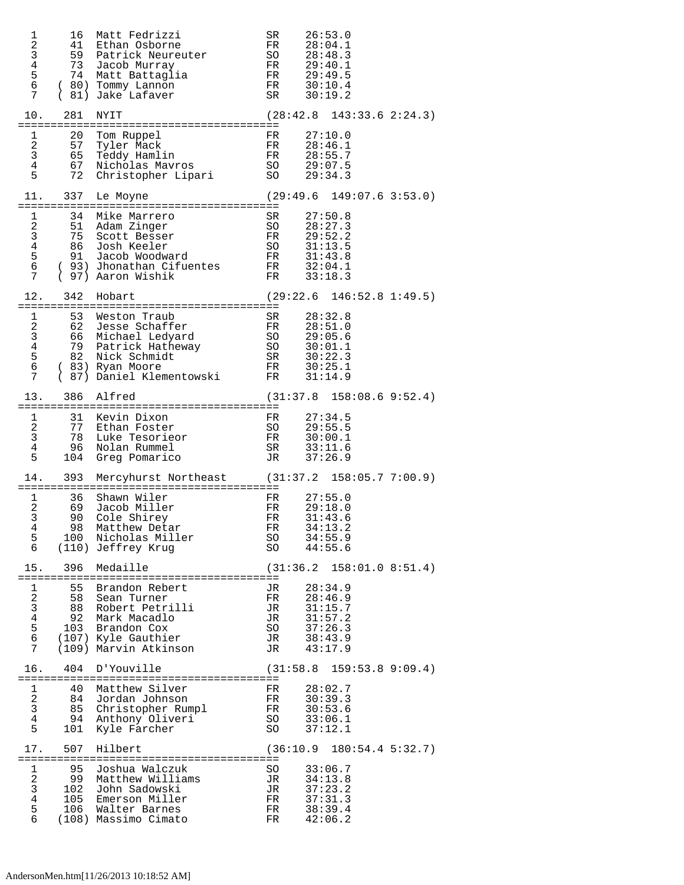| 1<br>$\sqrt{2}$<br>$\mathsf 3$<br>$\,4$<br>$\frac{5}{6}$<br>7                 | 16<br>41<br>59<br>73<br>74    | Matt Fedrizzi<br>Ethan Osborne<br>Patrick Neureuter<br>Jacob Murray<br>Matt Battaglia<br>(80) Tommy Lannon<br>81) Jake Lafaver      | SR<br>FR<br>SO<br>FR<br>FR<br>FR<br>SR               | 26:53.0<br>28:04.1<br>28:48.3<br>29:40.1<br>29:49.5<br>30:10.4<br>30:19.2 |
|-------------------------------------------------------------------------------|-------------------------------|-------------------------------------------------------------------------------------------------------------------------------------|------------------------------------------------------|---------------------------------------------------------------------------|
| 10.                                                                           | 281                           | NYIT                                                                                                                                | (28:42.8)                                            | $143:33.6$ $2:24.3)$                                                      |
| 1<br>2<br>$\mathbf{3}$<br>$\overline{4}$<br>5                                 | 20<br>57<br>65<br>67<br>72    | Tom Ruppel<br>Tyler Mack<br>Teddy Hamlin<br>Nicholas Mavros<br>Christopher Lipari                                                   | FR<br>FR<br>FR<br>SO<br>SO                           | 27:10.0<br>28:46.1<br>28:55.7<br>29:07.5<br>29:34.3                       |
| 11.                                                                           | 337                           | Le Moyne                                                                                                                            |                                                      | $(29:49.6 \t149:07.6 \t3:53.0)$                                           |
| 1<br>2<br>$\mathsf{3}$<br>$\overline{4}$<br>5<br>6<br>7                       | 34<br>51<br>75<br>86<br>91    | Mike Marrero<br>Adam Zinger<br>Scott Besser<br>Josh Keeler<br>Jacob Woodward<br>( 93) Jhonathan Cifuentes<br>( 97) Aaron Wishik     | SR<br>SO<br>FR<br>SO<br>FR<br>$_{\rm FR}$<br>FR      | 27:50.8<br>28:27.3<br>29:52.2<br>31:13.5<br>31:43.8<br>32:04.1<br>33:18.3 |
| 12.                                                                           | 342                           | Hobart                                                                                                                              |                                                      | $(29:22.6 \quad 146:52.8 \quad 1:49.5)$                                   |
| 1<br>$\boldsymbol{2}$<br>$\mathsf{3}$<br>$\overline{4}$<br>$\frac{5}{6}$<br>7 | 53<br>62<br>66<br>79<br>82    | Weston Traub<br>Jesse Schaffer<br>Michael Ledyard<br>Patrick Hatheway<br>Nick Schmidt<br>(83) Ryan Moore<br>87) Daniel Klementowski | SR<br>FR<br>SO<br>$^{SO}_{\rm SR}$<br>SR<br>FR<br>FR | 28:32.8<br>28:51.0<br>29:05.6<br>30:01.1<br>30:22.3<br>30:25.1<br>31:14.9 |
| 13.                                                                           | 386                           | Alfred                                                                                                                              |                                                      | $(31:37.8 \t158:08.6 \t9:52.4)$                                           |
| 1<br>2<br>$\mathbf{3}$<br>$\overline{4}$<br>5                                 | 31<br>77<br>78<br>96<br>104   | Kevin Dixon<br>Ethan Foster<br>Luke Tesorieor<br>Nolan Rummel<br>Greg Pomarico                                                      | FR<br>SO<br>FR<br>SR<br>JR                           | 27:34.5<br>29:55.5<br>30:00.1<br>33:11.6<br>37:26.9                       |
| 14.                                                                           | 393                           | Mercyhurst Northeast (31:37.2 158:05.7 7:00.9)                                                                                      |                                                      |                                                                           |
| 1<br>$\frac{2}{3}$<br>4<br>5<br>6                                             | 36<br>69<br>90<br>98<br>100   | Shawn Wiler<br>Jacob Miller<br>Cole Shirey<br>Matthew Detar<br>Nicholas Miller<br>(110) Jeffrey Krug                                | FR<br>FR<br>FR.<br>FR<br>SO<br>SO                    | 27:55.0<br>29:18.0<br>31:43.6<br>34:13.2<br>34:55.9<br>44:55.6            |
| 15.                                                                           | 396                           | Medaille                                                                                                                            |                                                      | (31:36.2 158:01.0 8:51.4)                                                 |
| 1<br>$\sqrt{2}$<br>$\mathsf 3$<br>$\,4$<br>5<br>$6\phantom{1}$<br>7           | 55<br>58<br>88<br>92<br>103   | Brandon Rebert<br>Sean Turner<br>Robert Petrilli<br>Mark Macadlo<br>Brandon Cox<br>(107) Kyle Gauthier<br>(109) Marvin Atkinson     | JR.<br>FR<br>JR<br>JR<br>SO<br>JR<br>JR              | 28:34.9<br>28:46.9<br>31:15.7<br>31:57.2<br>37:26.3<br>38:43.9<br>43:17.9 |
| 16.                                                                           | 404                           | D'Youville                                                                                                                          | (31:58.8)                                            | $159:53.8$ $9:09.4$ )                                                     |
| 1<br>2<br>3<br>$\overline{4}$<br>5                                            | 40<br>84<br>85<br>94<br>101   | Matthew Silver<br>Jordan Johnson<br>Christopher Rumpl<br>Anthony Oliveri<br>Kyle Farcher                                            | FR.<br>FR<br>FR<br>SO<br>SO                          | 28:02.7<br>30:39.3<br>30:53.6<br>33:06.1<br>37:12.1                       |
| 17.                                                                           | 507                           | Hilbert                                                                                                                             | (36:10.9                                             | 180:54.45:32.7                                                            |
| 1<br>2<br>3<br>$\overline{4}$<br>5<br>6                                       | 95<br>99<br>102<br>105<br>106 | Joshua Walczuk<br>Matthew Williams<br>John Sadowski<br>Emerson Miller<br>Walter Barnes<br>(108) Massimo Cimato                      | SO<br>JR<br>JR<br>FR<br>FR<br>FR                     | 33:06.7<br>34:13.8<br>37:23.2<br>37:31.3<br>38:39.4<br>42:06.2            |